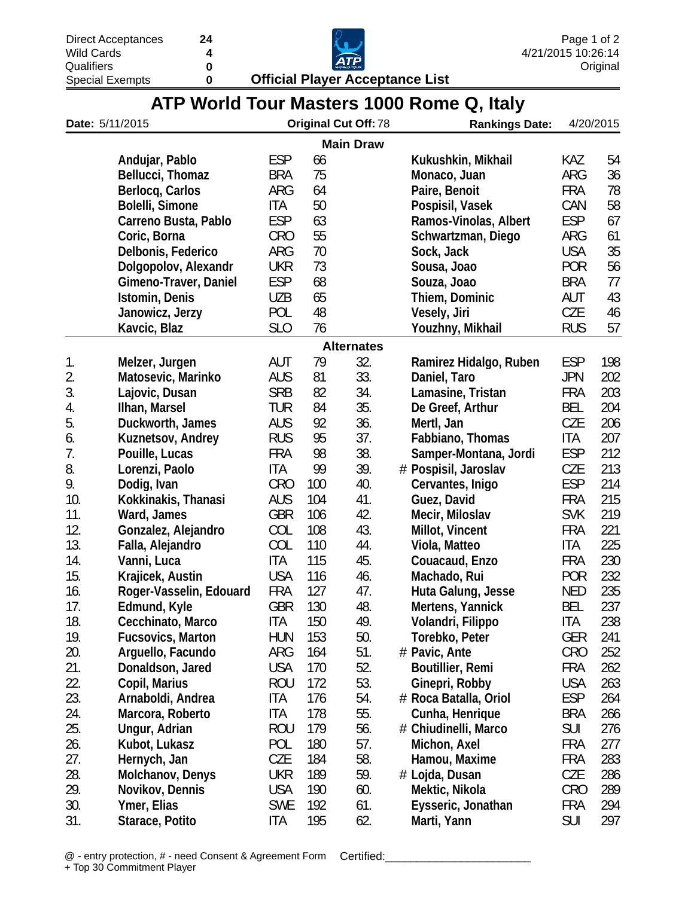Special Exempts

**0 Official Player Acceptance List**



| ATP World Tour Masters 1000 Rome Q, Italy |
|-------------------------------------------|
|-------------------------------------------|

| <b>Main Draw</b><br><b>ESP</b><br>Andujar, Pablo<br>66<br>Kukushkin, Mikhail<br>KAZ<br>75<br>ARG<br><b>BRA</b><br>Bellucci, Thomaz<br>Monaco, Juan<br><b>FRA</b><br>Berlocq, Carlos<br>ARG<br>64<br>Paire, Benoit<br>Bolelli, Simone<br><b>ITA</b><br>50<br>CAN<br>Pospisil, Vasek<br><b>ESP</b><br><b>ESP</b><br>63<br>Ramos-Vinolas, Albert<br>Carreno Busta, Pablo<br>55<br><b>CRO</b><br>Schwartzman, Diego<br>ARG<br>Coric, Borna<br>70<br><b>USA</b><br>Delbonis, Federico<br>ARG<br>Sock, Jack<br>Dolgopolov, Alexandr<br><b>UKR</b><br>73<br><b>POR</b><br>Sousa, Joao<br><b>ESP</b><br>68<br>Gimeno-Traver, Daniel<br>Souza, Joao<br><b>BRA</b><br><b>UZB</b><br>65<br>AUT<br>Istomin, Denis<br>Thiem, Dominic<br>48<br>POL<br><b>CZE</b><br>Janowicz, Jerzy<br>Vesely, Jiri<br>SL <sub>O</sub><br>76<br><b>RUS</b><br>Kavcic, Blaz<br>Youzhny, Mikhail<br><b>Alternates</b><br>79<br>32.<br><b>ESP</b><br>1.<br>AUT<br>Ramirez Hidalgo, Ruben<br>Melzer, Jurgen<br>2.<br>33.<br>81<br>Matosevic, Marinko<br><b>AUS</b><br>Daniel, Taro<br><b>JPN</b><br>3.<br><b>SRB</b><br>82<br>34.<br><b>FRA</b><br>Lajovic, Dusan<br>Lamasine, Tristan<br>35.<br>4.<br>84<br><b>BEL</b><br>Ilhan, Marsel<br><b>TUR</b><br>De Greef, Arthur<br>5.<br><b>AUS</b><br>92<br>36.<br>CZE<br>Duckworth, James<br>Mertl, Jan<br>37.<br><b>RUS</b><br>95<br>Fabbiano, Thomas<br>ITA<br>6.<br>Kuznetsov, Andrey<br>7.<br>38.<br><b>FRA</b><br>98<br><b>ESP</b><br>Pouille, Lucas<br>Samper-Montana, Jordi<br>8.<br>39.<br>ITA<br>99<br>CZE<br>Lorenzi, Paolo<br># Pospisil, Jaroslav<br>9.<br><b>ESP</b><br><b>CRO</b><br>40.<br>Dodig, Ivan<br>100<br>Cervantes, Inigo<br>10.<br><b>AUS</b><br>41.<br><b>FRA</b><br>Kokkinakis, Thanasi<br>104<br>Guez, David<br>42.<br>11.<br><b>GBR</b><br><b>SVK</b><br>Ward, James<br>106<br>Mecir, Miloslav<br>12.<br>43.<br>COL<br>108<br><b>FRA</b><br>Gonzalez, Alejandro<br>Millot, Vincent<br>13.<br>COL<br>44.<br>ITA<br>110<br>Viola, Matteo<br>Falla, Alejandro<br>14.<br>115<br>45.<br>Vanni, Luca<br>ITA<br>Couacaud, Enzo<br><b>FRA</b><br>15.<br><b>USA</b><br>116<br>46.<br><b>POR</b><br>Krajicek, Austin<br>Machado, Rui<br>127<br>16.<br><b>FRA</b><br>47.<br><b>NED</b><br>Roger-Vasselin, Edouard<br>Huta Galung, Jesse<br>17.<br><b>GBR</b><br>130<br>48.<br><b>BEL</b><br>Edmund, Kyle<br>Mertens, Yannick<br>49.<br>18.<br>ITA<br>150<br>ITA<br>Cecchinato, Marco<br>Volandri, Filippo<br>19.<br>153<br>50.<br><b>Fucsovics, Marton</b><br>HUN<br>Torebko, Peter<br>GER<br>51.<br>20.<br>Arguello, Facundo<br>ARG<br>164<br># Pavic, Ante<br><b>CRO</b><br><b>USA</b><br>52.<br>21.<br>Donaldson, Jared<br>170<br>Boutillier, Remi<br><b>FRA</b><br>53.<br>22.<br><b>USA</b><br>Copil, Marius<br><b>ROU</b><br>172<br>Ginepri, Robby<br>23.<br>ITA<br>54.<br><b>ESP</b><br>Arnaboldi, Andrea<br>176<br># Roca Batalla, Oriol<br>55.<br>24.<br>Marcora, Roberto<br>ITA<br>178<br>Cunha, Henrique<br><b>BRA</b><br>25.<br><b>SUI</b><br><b>ROU</b><br>56.<br># Chiudinelli, Marco<br>276<br>Ungur, Adrian<br>179<br>26.<br>57.<br>POL<br>180<br>277<br>Kubot, Lukasz<br>Michon, Axel<br>FRA<br>27.<br>58.<br>CZE<br>184<br>283<br>Hernych, Jan<br>Hamou, Maxime<br>FRA<br>28.<br>59.<br>UKR<br>189<br>CZE<br>286<br>Molchanov, Denys<br># Lojda, Dusan<br>29.<br><b>USA</b><br>Novikov, Dennis<br>60.<br>Mektic, Nikola<br><b>CRO</b><br>289<br>190<br>30.<br><b>SWE</b><br>61.<br>Eysseric, Jonathan<br>Ymer, Elias<br>192<br>FRA<br>294<br>62.<br><b>SUI</b><br>31.<br>ITA<br>195<br>Marti, Yann<br>Starace, Potito | Date: 5/11/2015 |  | <b>Original Cut Off: 78</b> |  |  | <b>Rankings Date:</b> | 4/20/2015 |  |     |
|--------------------------------------------------------------------------------------------------------------------------------------------------------------------------------------------------------------------------------------------------------------------------------------------------------------------------------------------------------------------------------------------------------------------------------------------------------------------------------------------------------------------------------------------------------------------------------------------------------------------------------------------------------------------------------------------------------------------------------------------------------------------------------------------------------------------------------------------------------------------------------------------------------------------------------------------------------------------------------------------------------------------------------------------------------------------------------------------------------------------------------------------------------------------------------------------------------------------------------------------------------------------------------------------------------------------------------------------------------------------------------------------------------------------------------------------------------------------------------------------------------------------------------------------------------------------------------------------------------------------------------------------------------------------------------------------------------------------------------------------------------------------------------------------------------------------------------------------------------------------------------------------------------------------------------------------------------------------------------------------------------------------------------------------------------------------------------------------------------------------------------------------------------------------------------------------------------------------------------------------------------------------------------------------------------------------------------------------------------------------------------------------------------------------------------------------------------------------------------------------------------------------------------------------------------------------------------------------------------------------------------------------------------------------------------------------------------------------------------------------------------------------------------------------------------------------------------------------------------------------------------------------------------------------------------------------------------------------------------------------------------------------------------------------------------------------------------------------------------------------------------------------------------------------------------------------------------------------------------------------------------------------------------------------------------------------------------------------------------------------------------------------------------------------------------------------------------------------------------------------------------------------------------------------------------------------|-----------------|--|-----------------------------|--|--|-----------------------|-----------|--|-----|
|                                                                                                                                                                                                                                                                                                                                                                                                                                                                                                                                                                                                                                                                                                                                                                                                                                                                                                                                                                                                                                                                                                                                                                                                                                                                                                                                                                                                                                                                                                                                                                                                                                                                                                                                                                                                                                                                                                                                                                                                                                                                                                                                                                                                                                                                                                                                                                                                                                                                                                                                                                                                                                                                                                                                                                                                                                                                                                                                                                                                                                                                                                                                                                                                                                                                                                                                                                                                                                                                                                                                                                    |                 |  |                             |  |  |                       |           |  |     |
|                                                                                                                                                                                                                                                                                                                                                                                                                                                                                                                                                                                                                                                                                                                                                                                                                                                                                                                                                                                                                                                                                                                                                                                                                                                                                                                                                                                                                                                                                                                                                                                                                                                                                                                                                                                                                                                                                                                                                                                                                                                                                                                                                                                                                                                                                                                                                                                                                                                                                                                                                                                                                                                                                                                                                                                                                                                                                                                                                                                                                                                                                                                                                                                                                                                                                                                                                                                                                                                                                                                                                                    |                 |  |                             |  |  |                       |           |  | 54  |
|                                                                                                                                                                                                                                                                                                                                                                                                                                                                                                                                                                                                                                                                                                                                                                                                                                                                                                                                                                                                                                                                                                                                                                                                                                                                                                                                                                                                                                                                                                                                                                                                                                                                                                                                                                                                                                                                                                                                                                                                                                                                                                                                                                                                                                                                                                                                                                                                                                                                                                                                                                                                                                                                                                                                                                                                                                                                                                                                                                                                                                                                                                                                                                                                                                                                                                                                                                                                                                                                                                                                                                    |                 |  |                             |  |  |                       |           |  | 36  |
|                                                                                                                                                                                                                                                                                                                                                                                                                                                                                                                                                                                                                                                                                                                                                                                                                                                                                                                                                                                                                                                                                                                                                                                                                                                                                                                                                                                                                                                                                                                                                                                                                                                                                                                                                                                                                                                                                                                                                                                                                                                                                                                                                                                                                                                                                                                                                                                                                                                                                                                                                                                                                                                                                                                                                                                                                                                                                                                                                                                                                                                                                                                                                                                                                                                                                                                                                                                                                                                                                                                                                                    |                 |  |                             |  |  |                       |           |  | 78  |
|                                                                                                                                                                                                                                                                                                                                                                                                                                                                                                                                                                                                                                                                                                                                                                                                                                                                                                                                                                                                                                                                                                                                                                                                                                                                                                                                                                                                                                                                                                                                                                                                                                                                                                                                                                                                                                                                                                                                                                                                                                                                                                                                                                                                                                                                                                                                                                                                                                                                                                                                                                                                                                                                                                                                                                                                                                                                                                                                                                                                                                                                                                                                                                                                                                                                                                                                                                                                                                                                                                                                                                    |                 |  |                             |  |  |                       |           |  | 58  |
|                                                                                                                                                                                                                                                                                                                                                                                                                                                                                                                                                                                                                                                                                                                                                                                                                                                                                                                                                                                                                                                                                                                                                                                                                                                                                                                                                                                                                                                                                                                                                                                                                                                                                                                                                                                                                                                                                                                                                                                                                                                                                                                                                                                                                                                                                                                                                                                                                                                                                                                                                                                                                                                                                                                                                                                                                                                                                                                                                                                                                                                                                                                                                                                                                                                                                                                                                                                                                                                                                                                                                                    |                 |  |                             |  |  |                       |           |  | 67  |
|                                                                                                                                                                                                                                                                                                                                                                                                                                                                                                                                                                                                                                                                                                                                                                                                                                                                                                                                                                                                                                                                                                                                                                                                                                                                                                                                                                                                                                                                                                                                                                                                                                                                                                                                                                                                                                                                                                                                                                                                                                                                                                                                                                                                                                                                                                                                                                                                                                                                                                                                                                                                                                                                                                                                                                                                                                                                                                                                                                                                                                                                                                                                                                                                                                                                                                                                                                                                                                                                                                                                                                    |                 |  |                             |  |  |                       |           |  | 61  |
|                                                                                                                                                                                                                                                                                                                                                                                                                                                                                                                                                                                                                                                                                                                                                                                                                                                                                                                                                                                                                                                                                                                                                                                                                                                                                                                                                                                                                                                                                                                                                                                                                                                                                                                                                                                                                                                                                                                                                                                                                                                                                                                                                                                                                                                                                                                                                                                                                                                                                                                                                                                                                                                                                                                                                                                                                                                                                                                                                                                                                                                                                                                                                                                                                                                                                                                                                                                                                                                                                                                                                                    |                 |  |                             |  |  |                       |           |  | 35  |
|                                                                                                                                                                                                                                                                                                                                                                                                                                                                                                                                                                                                                                                                                                                                                                                                                                                                                                                                                                                                                                                                                                                                                                                                                                                                                                                                                                                                                                                                                                                                                                                                                                                                                                                                                                                                                                                                                                                                                                                                                                                                                                                                                                                                                                                                                                                                                                                                                                                                                                                                                                                                                                                                                                                                                                                                                                                                                                                                                                                                                                                                                                                                                                                                                                                                                                                                                                                                                                                                                                                                                                    |                 |  |                             |  |  |                       |           |  | 56  |
|                                                                                                                                                                                                                                                                                                                                                                                                                                                                                                                                                                                                                                                                                                                                                                                                                                                                                                                                                                                                                                                                                                                                                                                                                                                                                                                                                                                                                                                                                                                                                                                                                                                                                                                                                                                                                                                                                                                                                                                                                                                                                                                                                                                                                                                                                                                                                                                                                                                                                                                                                                                                                                                                                                                                                                                                                                                                                                                                                                                                                                                                                                                                                                                                                                                                                                                                                                                                                                                                                                                                                                    |                 |  |                             |  |  |                       |           |  | 77  |
|                                                                                                                                                                                                                                                                                                                                                                                                                                                                                                                                                                                                                                                                                                                                                                                                                                                                                                                                                                                                                                                                                                                                                                                                                                                                                                                                                                                                                                                                                                                                                                                                                                                                                                                                                                                                                                                                                                                                                                                                                                                                                                                                                                                                                                                                                                                                                                                                                                                                                                                                                                                                                                                                                                                                                                                                                                                                                                                                                                                                                                                                                                                                                                                                                                                                                                                                                                                                                                                                                                                                                                    |                 |  |                             |  |  |                       |           |  | 43  |
|                                                                                                                                                                                                                                                                                                                                                                                                                                                                                                                                                                                                                                                                                                                                                                                                                                                                                                                                                                                                                                                                                                                                                                                                                                                                                                                                                                                                                                                                                                                                                                                                                                                                                                                                                                                                                                                                                                                                                                                                                                                                                                                                                                                                                                                                                                                                                                                                                                                                                                                                                                                                                                                                                                                                                                                                                                                                                                                                                                                                                                                                                                                                                                                                                                                                                                                                                                                                                                                                                                                                                                    |                 |  |                             |  |  |                       |           |  | 46  |
|                                                                                                                                                                                                                                                                                                                                                                                                                                                                                                                                                                                                                                                                                                                                                                                                                                                                                                                                                                                                                                                                                                                                                                                                                                                                                                                                                                                                                                                                                                                                                                                                                                                                                                                                                                                                                                                                                                                                                                                                                                                                                                                                                                                                                                                                                                                                                                                                                                                                                                                                                                                                                                                                                                                                                                                                                                                                                                                                                                                                                                                                                                                                                                                                                                                                                                                                                                                                                                                                                                                                                                    |                 |  |                             |  |  |                       |           |  | 57  |
|                                                                                                                                                                                                                                                                                                                                                                                                                                                                                                                                                                                                                                                                                                                                                                                                                                                                                                                                                                                                                                                                                                                                                                                                                                                                                                                                                                                                                                                                                                                                                                                                                                                                                                                                                                                                                                                                                                                                                                                                                                                                                                                                                                                                                                                                                                                                                                                                                                                                                                                                                                                                                                                                                                                                                                                                                                                                                                                                                                                                                                                                                                                                                                                                                                                                                                                                                                                                                                                                                                                                                                    |                 |  |                             |  |  |                       |           |  |     |
|                                                                                                                                                                                                                                                                                                                                                                                                                                                                                                                                                                                                                                                                                                                                                                                                                                                                                                                                                                                                                                                                                                                                                                                                                                                                                                                                                                                                                                                                                                                                                                                                                                                                                                                                                                                                                                                                                                                                                                                                                                                                                                                                                                                                                                                                                                                                                                                                                                                                                                                                                                                                                                                                                                                                                                                                                                                                                                                                                                                                                                                                                                                                                                                                                                                                                                                                                                                                                                                                                                                                                                    |                 |  |                             |  |  |                       |           |  | 198 |
|                                                                                                                                                                                                                                                                                                                                                                                                                                                                                                                                                                                                                                                                                                                                                                                                                                                                                                                                                                                                                                                                                                                                                                                                                                                                                                                                                                                                                                                                                                                                                                                                                                                                                                                                                                                                                                                                                                                                                                                                                                                                                                                                                                                                                                                                                                                                                                                                                                                                                                                                                                                                                                                                                                                                                                                                                                                                                                                                                                                                                                                                                                                                                                                                                                                                                                                                                                                                                                                                                                                                                                    |                 |  |                             |  |  |                       |           |  | 202 |
|                                                                                                                                                                                                                                                                                                                                                                                                                                                                                                                                                                                                                                                                                                                                                                                                                                                                                                                                                                                                                                                                                                                                                                                                                                                                                                                                                                                                                                                                                                                                                                                                                                                                                                                                                                                                                                                                                                                                                                                                                                                                                                                                                                                                                                                                                                                                                                                                                                                                                                                                                                                                                                                                                                                                                                                                                                                                                                                                                                                                                                                                                                                                                                                                                                                                                                                                                                                                                                                                                                                                                                    |                 |  |                             |  |  |                       |           |  | 203 |
|                                                                                                                                                                                                                                                                                                                                                                                                                                                                                                                                                                                                                                                                                                                                                                                                                                                                                                                                                                                                                                                                                                                                                                                                                                                                                                                                                                                                                                                                                                                                                                                                                                                                                                                                                                                                                                                                                                                                                                                                                                                                                                                                                                                                                                                                                                                                                                                                                                                                                                                                                                                                                                                                                                                                                                                                                                                                                                                                                                                                                                                                                                                                                                                                                                                                                                                                                                                                                                                                                                                                                                    |                 |  |                             |  |  |                       |           |  | 204 |
|                                                                                                                                                                                                                                                                                                                                                                                                                                                                                                                                                                                                                                                                                                                                                                                                                                                                                                                                                                                                                                                                                                                                                                                                                                                                                                                                                                                                                                                                                                                                                                                                                                                                                                                                                                                                                                                                                                                                                                                                                                                                                                                                                                                                                                                                                                                                                                                                                                                                                                                                                                                                                                                                                                                                                                                                                                                                                                                                                                                                                                                                                                                                                                                                                                                                                                                                                                                                                                                                                                                                                                    |                 |  |                             |  |  |                       |           |  | 206 |
|                                                                                                                                                                                                                                                                                                                                                                                                                                                                                                                                                                                                                                                                                                                                                                                                                                                                                                                                                                                                                                                                                                                                                                                                                                                                                                                                                                                                                                                                                                                                                                                                                                                                                                                                                                                                                                                                                                                                                                                                                                                                                                                                                                                                                                                                                                                                                                                                                                                                                                                                                                                                                                                                                                                                                                                                                                                                                                                                                                                                                                                                                                                                                                                                                                                                                                                                                                                                                                                                                                                                                                    |                 |  |                             |  |  |                       |           |  | 207 |
|                                                                                                                                                                                                                                                                                                                                                                                                                                                                                                                                                                                                                                                                                                                                                                                                                                                                                                                                                                                                                                                                                                                                                                                                                                                                                                                                                                                                                                                                                                                                                                                                                                                                                                                                                                                                                                                                                                                                                                                                                                                                                                                                                                                                                                                                                                                                                                                                                                                                                                                                                                                                                                                                                                                                                                                                                                                                                                                                                                                                                                                                                                                                                                                                                                                                                                                                                                                                                                                                                                                                                                    |                 |  |                             |  |  |                       |           |  | 212 |
|                                                                                                                                                                                                                                                                                                                                                                                                                                                                                                                                                                                                                                                                                                                                                                                                                                                                                                                                                                                                                                                                                                                                                                                                                                                                                                                                                                                                                                                                                                                                                                                                                                                                                                                                                                                                                                                                                                                                                                                                                                                                                                                                                                                                                                                                                                                                                                                                                                                                                                                                                                                                                                                                                                                                                                                                                                                                                                                                                                                                                                                                                                                                                                                                                                                                                                                                                                                                                                                                                                                                                                    |                 |  |                             |  |  |                       |           |  | 213 |
|                                                                                                                                                                                                                                                                                                                                                                                                                                                                                                                                                                                                                                                                                                                                                                                                                                                                                                                                                                                                                                                                                                                                                                                                                                                                                                                                                                                                                                                                                                                                                                                                                                                                                                                                                                                                                                                                                                                                                                                                                                                                                                                                                                                                                                                                                                                                                                                                                                                                                                                                                                                                                                                                                                                                                                                                                                                                                                                                                                                                                                                                                                                                                                                                                                                                                                                                                                                                                                                                                                                                                                    |                 |  |                             |  |  |                       |           |  | 214 |
|                                                                                                                                                                                                                                                                                                                                                                                                                                                                                                                                                                                                                                                                                                                                                                                                                                                                                                                                                                                                                                                                                                                                                                                                                                                                                                                                                                                                                                                                                                                                                                                                                                                                                                                                                                                                                                                                                                                                                                                                                                                                                                                                                                                                                                                                                                                                                                                                                                                                                                                                                                                                                                                                                                                                                                                                                                                                                                                                                                                                                                                                                                                                                                                                                                                                                                                                                                                                                                                                                                                                                                    |                 |  |                             |  |  |                       |           |  | 215 |
|                                                                                                                                                                                                                                                                                                                                                                                                                                                                                                                                                                                                                                                                                                                                                                                                                                                                                                                                                                                                                                                                                                                                                                                                                                                                                                                                                                                                                                                                                                                                                                                                                                                                                                                                                                                                                                                                                                                                                                                                                                                                                                                                                                                                                                                                                                                                                                                                                                                                                                                                                                                                                                                                                                                                                                                                                                                                                                                                                                                                                                                                                                                                                                                                                                                                                                                                                                                                                                                                                                                                                                    |                 |  |                             |  |  |                       |           |  | 219 |
|                                                                                                                                                                                                                                                                                                                                                                                                                                                                                                                                                                                                                                                                                                                                                                                                                                                                                                                                                                                                                                                                                                                                                                                                                                                                                                                                                                                                                                                                                                                                                                                                                                                                                                                                                                                                                                                                                                                                                                                                                                                                                                                                                                                                                                                                                                                                                                                                                                                                                                                                                                                                                                                                                                                                                                                                                                                                                                                                                                                                                                                                                                                                                                                                                                                                                                                                                                                                                                                                                                                                                                    |                 |  |                             |  |  |                       |           |  | 221 |
|                                                                                                                                                                                                                                                                                                                                                                                                                                                                                                                                                                                                                                                                                                                                                                                                                                                                                                                                                                                                                                                                                                                                                                                                                                                                                                                                                                                                                                                                                                                                                                                                                                                                                                                                                                                                                                                                                                                                                                                                                                                                                                                                                                                                                                                                                                                                                                                                                                                                                                                                                                                                                                                                                                                                                                                                                                                                                                                                                                                                                                                                                                                                                                                                                                                                                                                                                                                                                                                                                                                                                                    |                 |  |                             |  |  |                       |           |  | 225 |
|                                                                                                                                                                                                                                                                                                                                                                                                                                                                                                                                                                                                                                                                                                                                                                                                                                                                                                                                                                                                                                                                                                                                                                                                                                                                                                                                                                                                                                                                                                                                                                                                                                                                                                                                                                                                                                                                                                                                                                                                                                                                                                                                                                                                                                                                                                                                                                                                                                                                                                                                                                                                                                                                                                                                                                                                                                                                                                                                                                                                                                                                                                                                                                                                                                                                                                                                                                                                                                                                                                                                                                    |                 |  |                             |  |  |                       |           |  | 230 |
|                                                                                                                                                                                                                                                                                                                                                                                                                                                                                                                                                                                                                                                                                                                                                                                                                                                                                                                                                                                                                                                                                                                                                                                                                                                                                                                                                                                                                                                                                                                                                                                                                                                                                                                                                                                                                                                                                                                                                                                                                                                                                                                                                                                                                                                                                                                                                                                                                                                                                                                                                                                                                                                                                                                                                                                                                                                                                                                                                                                                                                                                                                                                                                                                                                                                                                                                                                                                                                                                                                                                                                    |                 |  |                             |  |  |                       |           |  | 232 |
|                                                                                                                                                                                                                                                                                                                                                                                                                                                                                                                                                                                                                                                                                                                                                                                                                                                                                                                                                                                                                                                                                                                                                                                                                                                                                                                                                                                                                                                                                                                                                                                                                                                                                                                                                                                                                                                                                                                                                                                                                                                                                                                                                                                                                                                                                                                                                                                                                                                                                                                                                                                                                                                                                                                                                                                                                                                                                                                                                                                                                                                                                                                                                                                                                                                                                                                                                                                                                                                                                                                                                                    |                 |  |                             |  |  |                       |           |  | 235 |
|                                                                                                                                                                                                                                                                                                                                                                                                                                                                                                                                                                                                                                                                                                                                                                                                                                                                                                                                                                                                                                                                                                                                                                                                                                                                                                                                                                                                                                                                                                                                                                                                                                                                                                                                                                                                                                                                                                                                                                                                                                                                                                                                                                                                                                                                                                                                                                                                                                                                                                                                                                                                                                                                                                                                                                                                                                                                                                                                                                                                                                                                                                                                                                                                                                                                                                                                                                                                                                                                                                                                                                    |                 |  |                             |  |  |                       |           |  | 237 |
|                                                                                                                                                                                                                                                                                                                                                                                                                                                                                                                                                                                                                                                                                                                                                                                                                                                                                                                                                                                                                                                                                                                                                                                                                                                                                                                                                                                                                                                                                                                                                                                                                                                                                                                                                                                                                                                                                                                                                                                                                                                                                                                                                                                                                                                                                                                                                                                                                                                                                                                                                                                                                                                                                                                                                                                                                                                                                                                                                                                                                                                                                                                                                                                                                                                                                                                                                                                                                                                                                                                                                                    |                 |  |                             |  |  |                       |           |  | 238 |
|                                                                                                                                                                                                                                                                                                                                                                                                                                                                                                                                                                                                                                                                                                                                                                                                                                                                                                                                                                                                                                                                                                                                                                                                                                                                                                                                                                                                                                                                                                                                                                                                                                                                                                                                                                                                                                                                                                                                                                                                                                                                                                                                                                                                                                                                                                                                                                                                                                                                                                                                                                                                                                                                                                                                                                                                                                                                                                                                                                                                                                                                                                                                                                                                                                                                                                                                                                                                                                                                                                                                                                    |                 |  |                             |  |  |                       |           |  | 241 |
|                                                                                                                                                                                                                                                                                                                                                                                                                                                                                                                                                                                                                                                                                                                                                                                                                                                                                                                                                                                                                                                                                                                                                                                                                                                                                                                                                                                                                                                                                                                                                                                                                                                                                                                                                                                                                                                                                                                                                                                                                                                                                                                                                                                                                                                                                                                                                                                                                                                                                                                                                                                                                                                                                                                                                                                                                                                                                                                                                                                                                                                                                                                                                                                                                                                                                                                                                                                                                                                                                                                                                                    |                 |  |                             |  |  |                       |           |  | 252 |
|                                                                                                                                                                                                                                                                                                                                                                                                                                                                                                                                                                                                                                                                                                                                                                                                                                                                                                                                                                                                                                                                                                                                                                                                                                                                                                                                                                                                                                                                                                                                                                                                                                                                                                                                                                                                                                                                                                                                                                                                                                                                                                                                                                                                                                                                                                                                                                                                                                                                                                                                                                                                                                                                                                                                                                                                                                                                                                                                                                                                                                                                                                                                                                                                                                                                                                                                                                                                                                                                                                                                                                    |                 |  |                             |  |  |                       |           |  | 262 |
|                                                                                                                                                                                                                                                                                                                                                                                                                                                                                                                                                                                                                                                                                                                                                                                                                                                                                                                                                                                                                                                                                                                                                                                                                                                                                                                                                                                                                                                                                                                                                                                                                                                                                                                                                                                                                                                                                                                                                                                                                                                                                                                                                                                                                                                                                                                                                                                                                                                                                                                                                                                                                                                                                                                                                                                                                                                                                                                                                                                                                                                                                                                                                                                                                                                                                                                                                                                                                                                                                                                                                                    |                 |  |                             |  |  |                       |           |  | 263 |
|                                                                                                                                                                                                                                                                                                                                                                                                                                                                                                                                                                                                                                                                                                                                                                                                                                                                                                                                                                                                                                                                                                                                                                                                                                                                                                                                                                                                                                                                                                                                                                                                                                                                                                                                                                                                                                                                                                                                                                                                                                                                                                                                                                                                                                                                                                                                                                                                                                                                                                                                                                                                                                                                                                                                                                                                                                                                                                                                                                                                                                                                                                                                                                                                                                                                                                                                                                                                                                                                                                                                                                    |                 |  |                             |  |  |                       |           |  | 264 |
|                                                                                                                                                                                                                                                                                                                                                                                                                                                                                                                                                                                                                                                                                                                                                                                                                                                                                                                                                                                                                                                                                                                                                                                                                                                                                                                                                                                                                                                                                                                                                                                                                                                                                                                                                                                                                                                                                                                                                                                                                                                                                                                                                                                                                                                                                                                                                                                                                                                                                                                                                                                                                                                                                                                                                                                                                                                                                                                                                                                                                                                                                                                                                                                                                                                                                                                                                                                                                                                                                                                                                                    |                 |  |                             |  |  |                       |           |  | 266 |
|                                                                                                                                                                                                                                                                                                                                                                                                                                                                                                                                                                                                                                                                                                                                                                                                                                                                                                                                                                                                                                                                                                                                                                                                                                                                                                                                                                                                                                                                                                                                                                                                                                                                                                                                                                                                                                                                                                                                                                                                                                                                                                                                                                                                                                                                                                                                                                                                                                                                                                                                                                                                                                                                                                                                                                                                                                                                                                                                                                                                                                                                                                                                                                                                                                                                                                                                                                                                                                                                                                                                                                    |                 |  |                             |  |  |                       |           |  |     |
|                                                                                                                                                                                                                                                                                                                                                                                                                                                                                                                                                                                                                                                                                                                                                                                                                                                                                                                                                                                                                                                                                                                                                                                                                                                                                                                                                                                                                                                                                                                                                                                                                                                                                                                                                                                                                                                                                                                                                                                                                                                                                                                                                                                                                                                                                                                                                                                                                                                                                                                                                                                                                                                                                                                                                                                                                                                                                                                                                                                                                                                                                                                                                                                                                                                                                                                                                                                                                                                                                                                                                                    |                 |  |                             |  |  |                       |           |  |     |
|                                                                                                                                                                                                                                                                                                                                                                                                                                                                                                                                                                                                                                                                                                                                                                                                                                                                                                                                                                                                                                                                                                                                                                                                                                                                                                                                                                                                                                                                                                                                                                                                                                                                                                                                                                                                                                                                                                                                                                                                                                                                                                                                                                                                                                                                                                                                                                                                                                                                                                                                                                                                                                                                                                                                                                                                                                                                                                                                                                                                                                                                                                                                                                                                                                                                                                                                                                                                                                                                                                                                                                    |                 |  |                             |  |  |                       |           |  |     |
|                                                                                                                                                                                                                                                                                                                                                                                                                                                                                                                                                                                                                                                                                                                                                                                                                                                                                                                                                                                                                                                                                                                                                                                                                                                                                                                                                                                                                                                                                                                                                                                                                                                                                                                                                                                                                                                                                                                                                                                                                                                                                                                                                                                                                                                                                                                                                                                                                                                                                                                                                                                                                                                                                                                                                                                                                                                                                                                                                                                                                                                                                                                                                                                                                                                                                                                                                                                                                                                                                                                                                                    |                 |  |                             |  |  |                       |           |  |     |
|                                                                                                                                                                                                                                                                                                                                                                                                                                                                                                                                                                                                                                                                                                                                                                                                                                                                                                                                                                                                                                                                                                                                                                                                                                                                                                                                                                                                                                                                                                                                                                                                                                                                                                                                                                                                                                                                                                                                                                                                                                                                                                                                                                                                                                                                                                                                                                                                                                                                                                                                                                                                                                                                                                                                                                                                                                                                                                                                                                                                                                                                                                                                                                                                                                                                                                                                                                                                                                                                                                                                                                    |                 |  |                             |  |  |                       |           |  |     |
|                                                                                                                                                                                                                                                                                                                                                                                                                                                                                                                                                                                                                                                                                                                                                                                                                                                                                                                                                                                                                                                                                                                                                                                                                                                                                                                                                                                                                                                                                                                                                                                                                                                                                                                                                                                                                                                                                                                                                                                                                                                                                                                                                                                                                                                                                                                                                                                                                                                                                                                                                                                                                                                                                                                                                                                                                                                                                                                                                                                                                                                                                                                                                                                                                                                                                                                                                                                                                                                                                                                                                                    |                 |  |                             |  |  |                       |           |  |     |
|                                                                                                                                                                                                                                                                                                                                                                                                                                                                                                                                                                                                                                                                                                                                                                                                                                                                                                                                                                                                                                                                                                                                                                                                                                                                                                                                                                                                                                                                                                                                                                                                                                                                                                                                                                                                                                                                                                                                                                                                                                                                                                                                                                                                                                                                                                                                                                                                                                                                                                                                                                                                                                                                                                                                                                                                                                                                                                                                                                                                                                                                                                                                                                                                                                                                                                                                                                                                                                                                                                                                                                    |                 |  |                             |  |  |                       |           |  | 297 |